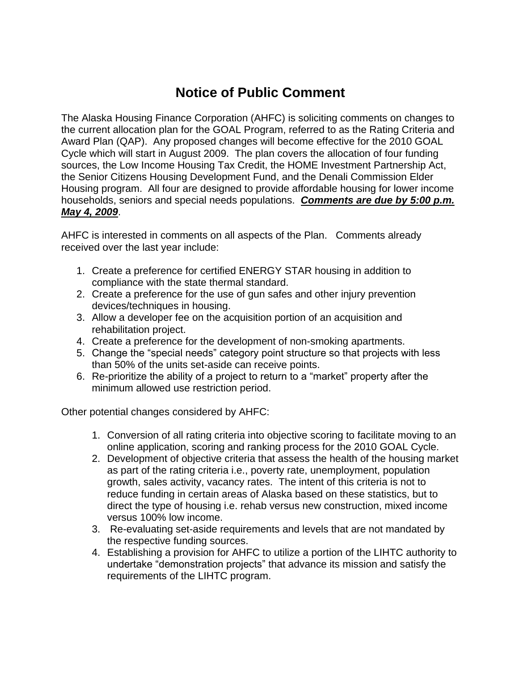## **Notice of Public Comment**

The Alaska Housing Finance Corporation (AHFC) is soliciting comments on changes to the current allocation plan for the GOAL Program, referred to as the Rating Criteria and Award Plan (QAP). Any proposed changes will become effective for the 2010 GOAL Cycle which will start in August 2009. The plan covers the allocation of four funding sources, the Low Income Housing Tax Credit, the HOME Investment Partnership Act, the Senior Citizens Housing Development Fund, and the Denali Commission Elder Housing program. All four are designed to provide affordable housing for lower income households, seniors and special needs populations. *Comments are due by 5:00 p.m. May 4, 2009*.

AHFC is interested in comments on all aspects of the Plan. Comments already received over the last year include:

- 1. Create a preference for certified ENERGY STAR housing in addition to compliance with the state thermal standard.
- 2. Create a preference for the use of gun safes and other injury prevention devices/techniques in housing.
- 3. Allow a developer fee on the acquisition portion of an acquisition and rehabilitation project.
- 4. Create a preference for the development of non-smoking apartments.
- 5. Change the "special needs" category point structure so that projects with less than 50% of the units set-aside can receive points.
- 6. Re-prioritize the ability of a project to return to a "market" property after the minimum allowed use restriction period.

Other potential changes considered by AHFC:

- 1. Conversion of all rating criteria into objective scoring to facilitate moving to an online application, scoring and ranking process for the 2010 GOAL Cycle.
- 2. Development of objective criteria that assess the health of the housing market as part of the rating criteria i.e., poverty rate, unemployment, population growth, sales activity, vacancy rates. The intent of this criteria is not to reduce funding in certain areas of Alaska based on these statistics, but to direct the type of housing i.e. rehab versus new construction, mixed income versus 100% low income.
- 3. Re-evaluating set-aside requirements and levels that are not mandated by the respective funding sources.
- 4. Establishing a provision for AHFC to utilize a portion of the LIHTC authority to undertake "demonstration projects" that advance its mission and satisfy the requirements of the LIHTC program.